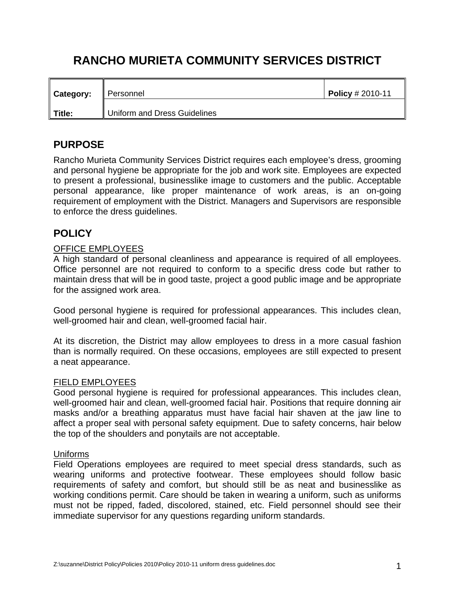# **RANCHO MURIETA COMMUNITY SERVICES DISTRICT**

| <b>Category:</b> | Personnel<br>Ш               | $\sqrt{P^{0.000}}$ Policy # 2010-11 |
|------------------|------------------------------|-------------------------------------|
| Title:           | Uniform and Dress Guidelines |                                     |

## **PURPOSE**

Rancho Murieta Community Services District requires each employee's dress, grooming and personal hygiene be appropriate for the job and work site. Employees are expected to present a professional, businesslike image to customers and the public. Acceptable personal appearance, like proper maintenance of work areas, is an on-going requirement of employment with the District. Managers and Supervisors are responsible to enforce the dress guidelines.

# **POLICY**

## OFFICE EMPLOYEES

A high standard of personal cleanliness and appearance is required of all employees. Office personnel are not required to conform to a specific dress code but rather to maintain dress that will be in good taste, project a good public image and be appropriate for the assigned work area.

Good personal hygiene is required for professional appearances. This includes clean, well-groomed hair and clean, well-groomed facial hair.

At its discretion, the District may allow employees to dress in a more casual fashion than is normally required. On these occasions, employees are still expected to present a neat appearance.

#### FIELD EMPLOYEES

Good personal hygiene is required for professional appearances. This includes clean, well-groomed hair and clean, well-groomed facial hair. Positions that require donning air masks and/or a breathing apparatus must have facial hair shaven at the jaw line to affect a proper seal with personal safety equipment. Due to safety concerns, hair below the top of the shoulders and ponytails are not acceptable.

#### Uniforms

Field Operations employees are required to meet special dress standards, such as wearing uniforms and protective footwear. These employees should follow basic requirements of safety and comfort, but should still be as neat and businesslike as working conditions permit. Care should be taken in wearing a uniform, such as uniforms must not be ripped, faded, discolored, stained, etc. Field personnel should see their immediate supervisor for any questions regarding uniform standards.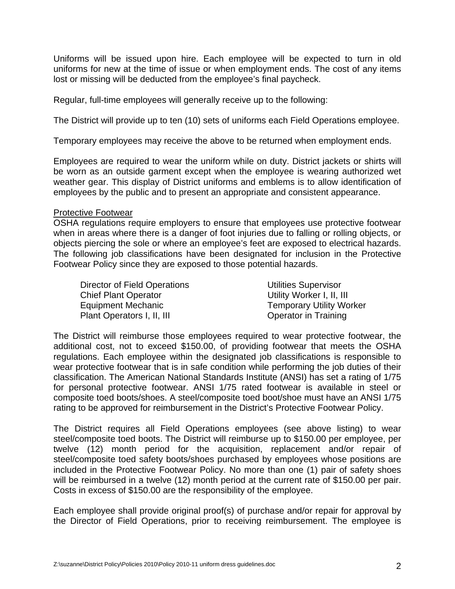Uniforms will be issued upon hire. Each employee will be expected to turn in old uniforms for new at the time of issue or when employment ends. The cost of any items lost or missing will be deducted from the employee's final paycheck.

Regular, full-time employees will generally receive up to the following:

The District will provide up to ten (10) sets of uniforms each Field Operations employee.

Temporary employees may receive the above to be returned when employment ends.

Employees are required to wear the uniform while on duty. District jackets or shirts will be worn as an outside garment except when the employee is wearing authorized wet weather gear. This display of District uniforms and emblems is to allow identification of employees by the public and to present an appropriate and consistent appearance.

#### Protective Footwear

OSHA regulations require employers to ensure that employees use protective footwear when in areas where there is a danger of foot injuries due to falling or rolling objects, or objects piercing the sole or where an employee's feet are exposed to electrical hazards. The following job classifications have been designated for inclusion in the Protective Footwear Policy since they are exposed to those potential hazards.

| Director of Field Operations | <b>Utilities Supervisor</b>     |
|------------------------------|---------------------------------|
| <b>Chief Plant Operator</b>  | Utility Worker I, II, III       |
| Equipment Mechanic           | <b>Temporary Utility Worker</b> |
| Plant Operators I, II, III   | <b>Operator in Training</b>     |

The District will reimburse those employees required to wear protective footwear, the additional cost, not to exceed \$150.00, of providing footwear that meets the OSHA regulations. Each employee within the designated job classifications is responsible to wear protective footwear that is in safe condition while performing the job duties of their classification. The American National Standards Institute (ANSI) has set a rating of 1/75 for personal protective footwear. ANSI 1/75 rated footwear is available in steel or composite toed boots/shoes. A steel/composite toed boot/shoe must have an ANSI 1/75 rating to be approved for reimbursement in the District's Protective Footwear Policy.

The District requires all Field Operations employees (see above listing) to wear steel/composite toed boots. The District will reimburse up to \$150.00 per employee, per twelve (12) month period for the acquisition, replacement and/or repair of steel/composite toed safety boots/shoes purchased by employees whose positions are included in the Protective Footwear Policy. No more than one (1) pair of safety shoes will be reimbursed in a twelve (12) month period at the current rate of \$150.00 per pair. Costs in excess of \$150.00 are the responsibility of the employee.

Each employee shall provide original proof(s) of purchase and/or repair for approval by the Director of Field Operations, prior to receiving reimbursement. The employee is